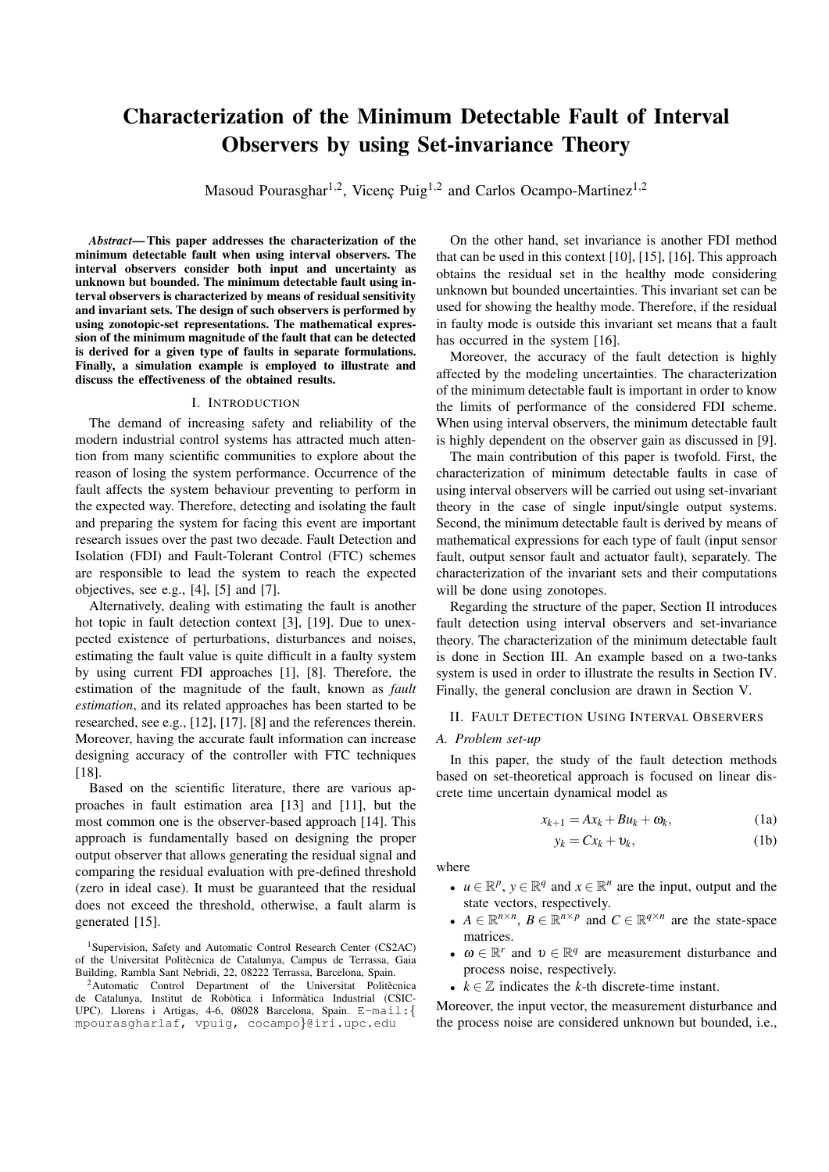# **Characterization of the Minimum Detectable Fault of Interval Observers by using Set-invariance Theory**

Masoud Pourasghar<sup>1,2</sup>, Vicenç Puig<sup>1,2</sup> and Carlos Ocampo-Martinez<sup>1,2</sup>

Abstract—This paper addresses the characterization of the minimum detectable fault when using interval observers. The interval observers consider both input and uncertainty as unknown but bounded. The minimum detectable fault using interval observers is characterized by means of residual sensitivity and invariant sets. The design of such observers is performed by using zonotopic-set representations. The mathematical expression of the minimum magnitude of the fault that can be detected is derived for a given type of faults in separate formulations. Finally, a simulation example is employed to illustrate and discuss the effectiveness of the obtained results.

### I. INTRODUCTION

The demand of increasing safety and reliability of the modern industrial control systems has attracted much attention from many scientific communities to explore about the reason of losing the system performance. Occurrence of the fault affects the system behaviour preventing to perform in the expected way. Therefore, detecting and isolating the fault and preparing the system for facing this event are important research issues over the past two decade. Fault Detection and Isolation (FDI) and Fault-Tolerant Control (FTC) schemes are responsible to lead the system to reach the expected objectives, see e.g.,  $[4]$ ,  $[5]$  and  $[7]$ .

Alternatively, dealing with estimating the fault is another hot topic in fault detection context [3], [19]. Due to unexpected existence of perturbations, disturbances and noises, estimating the fault value is quite difficult in a faulty system by using current FDI approaches [1], [8]. Therefore, the estimation of the magnitude of the fault, known as fault estimation, and its related approaches has been started to be researched, see e.g., [12], [17], [8] and the references therein. Moreover, having the accurate fault information can increase designing accuracy of the controller with FTC techniques  $[18]$ 

Based on the scientific literature, there are various approaches in fault estimation area [13] and [11], but the most common one is the observer-based approach [14]. This approach is fundamentally based on designing the proper output observer that allows generating the residual signal and comparing the residual evaluation with pre-defined threshold (zero in ideal case). It must be guaranteed that the residual does not exceed the threshold, otherwise, a fault alarm is generated [15].

<sup>1</sup>Supervision, Safety and Automatic Control Research Center (CS2AC) of the Universitat Politècnica de Catalunya, Campus de Terrassa, Gaia Building, Rambla Sant Nebridi, 22, 08222 Terrassa, Barcelona, Spain.

On the other hand, set invariance is another FDI method that can be used in this context  $[10]$ ,  $[15]$ ,  $[16]$ . This approach obtains the residual set in the healthy mode considering unknown but bounded uncertainties. This invariant set can be used for showing the healthy mode. Therefore, if the residual in faulty mode is outside this invariant set means that a fault has occurred in the system [16].

Moreover, the accuracy of the fault detection is highly affected by the modeling uncertainties. The characterization of the minimum detectable fault is important in order to know the limits of performance of the considered FDI scheme. When using interval observers, the minimum detectable fault is highly dependent on the observer gain as discussed in [9].

The main contribution of this paper is twofold. First, the characterization of minimum detectable faults in case of using interval observers will be carried out using set-invariant theory in the case of single input/single output systems. Second, the minimum detectable fault is derived by means of mathematical expressions for each type of fault (input sensor fault, output sensor fault and actuator fault), separately. The characterization of the invariant sets and their computations will be done using zonotopes.

Regarding the structure of the paper, Section II introduces fault detection using interval observers and set-invariance theory. The characterization of the minimum detectable fault is done in Section III. An example based on a two-tanks system is used in order to illustrate the results in Section IV. Finally, the general conclusion are drawn in Section V.

#### **II. FAULT DETECTION USING INTERVAL OBSERVERS**

### A. Problem set-up

In this paper, the study of the fault detection methods based on set-theoretical approach is focused on linear discrete time uncertain dynamical model as

$$
x_{k+1} = Ax_k + Bu_k + \omega_k, \tag{1a}
$$

$$
y_k = Cx_k + v_k, \tag{1b}
$$

where

- $u \in \mathbb{R}^p$ ,  $y \in \mathbb{R}^q$  and  $x \in \mathbb{R}^n$  are the input, output and the state vectors, respectively.
- $A \in \mathbb{R}^{n \times n}$ ,  $B \in \mathbb{R}^{n \times p}$  and  $C \in \mathbb{R}^{q \times n}$  are the state-space matrices.
- $\omega \in \mathbb{R}^r$  and  $v \in \mathbb{R}^q$  are measurement disturbance and process noise, respectively.
- $k \in \mathbb{Z}$  indicates the k-th discrete-time instant.

Moreover, the input vector, the measurement disturbance and the process noise are considered unknown but bounded, i.e.,

<sup>&</sup>lt;sup>2</sup>Automatic Control Department of the Universitat Politècnica de Catalunya, Institut de Robòtica i Informàtica Industrial (CSIC-UPC). Llorens i Artigas, 4-6, 08028 Barcelona, Spain. E-mail: { mpourasgharlaf, vpuig, cocampo}@iri.upc.edu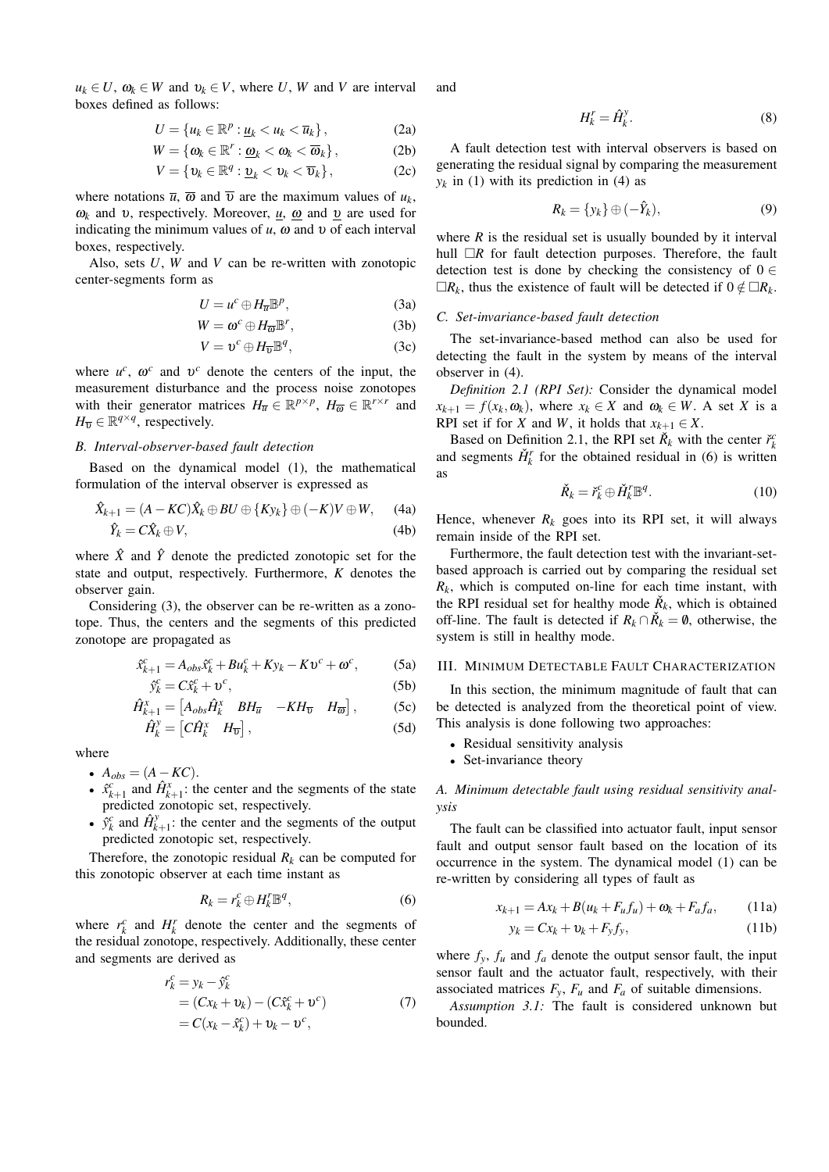$u_k \in U$ ,  $\omega_k \in W$  and  $v_k \in V$ , where U, W and V are interval boxes defined as follows:

$$
U = \{u_k \in \mathbb{R}^p : \underline{u}_k < u_k < \overline{u}_k\},\tag{2a}
$$

$$
W = \{\omega_k \in \mathbb{R}^r : \underline{\omega}_k < \omega_k < \overline{\omega}_k\},\tag{2b}
$$

$$
V = \{ \mathbf{v}_k \in \mathbb{R}^q : \underline{\mathbf{v}}_k < \mathbf{v}_k < \overline{\mathbf{v}}_k \},\tag{2c}
$$

where notations  $\overline{u}$ ,  $\overline{\omega}$  and  $\overline{v}$  are the maximum values of  $u_k$ ,  $\omega_k$  and v, respectively. Moreover, <u>u</u>,  $\omega$  and <u>v</u> are used for indicating the minimum values of  $u$ ,  $\omega$  and  $v$  of each interval boxes, respectively.

Also, sets  $U$ ,  $W$  and  $V$  can be re-written with zonotopic center-segments form as

$$
U = u^c \oplus H_{\overline{u}} \mathbb{B}^p, \tag{3a}
$$

$$
W = \omega^c \oplus H_{\overline{\omega}} \mathbb{B}^r, \tag{3b}
$$

$$
V = \mathbf{v}^c \oplus H_{\overline{\mathbf{v}}} \mathbb{B}^q, \tag{3c}
$$

where  $u^c$ ,  $\omega^c$  and  $v^c$  denote the centers of the input, the measurement disturbance and the process noise zonotopes with their generator matrices  $H_{\overline{u}} \in \mathbb{R}^{p \times p}$ ,  $H_{\overline{\omega}} \in \mathbb{R}^{r \times r}$  and  $H_{\overline{\upsilon}} \in \mathbb{R}^{q \times q}$ , respectively.

# B. Interval-observer-based fault detection

Based on the dynamical model (1), the mathematical formulation of the interval observer is expressed as

$$
\hat{X}_{k+1} = (A - KC)\hat{X}_k \oplus BU \oplus \{Ky_k\} \oplus (-K)V \oplus W, \quad (4a)
$$
  

$$
\hat{Y}_k = C\hat{X}_k \oplus V, \quad (4b)
$$

where  $\hat{X}$  and  $\hat{Y}$  denote the predicted zonotopic set for the state and output, respectively. Furthermore,  $K$  denotes the observer gain.

Considering (3), the observer can be re-written as a zonotope. Thus, the centers and the segments of this predicted zonotope are propagated as

$$
\hat{x}_{k+1}^c = A_{obs}\hat{x}_k^c + Bu_k^c + Ky_k - Kv^c + \omega^c,
$$
 (5a)

$$
\hat{y}_k^c = C\hat{x}_k^c + \upsilon^c,\tag{5b}
$$

$$
\hat{H}_{k+1}^x = \begin{bmatrix} A_{obs} \hat{H}_k^x & B H_{\overline{u}} & -KH_{\overline{v}} & H_{\overline{\omega}} \end{bmatrix},
$$
(5c)  

$$
\hat{H}_k^y = \begin{bmatrix} C \hat{H}_k^x & H_{\overline{w}} \end{bmatrix}.
$$
(5d)

$$
\mathbf{E}_{k}^{y} = \begin{bmatrix} C\hat{H}_{k}^{x} & H_{\overline{v}} \end{bmatrix}, \tag{5d}
$$

where

- $A_{obs} = (A KC).$
- $\hat{x}_{k+1}^c$  and  $\hat{H}_{k+1}^x$ : the center and the segments of the state predicted zonotopic set, respectively.
- $\hat{y}_k^c$  and  $\hat{H}_{k+1}^y$ : the center and the segments of the output predicted zonotopic set, respectively.

Therefore, the zonotopic residual  $R_k$  can be computed for this zonotopic observer at each time instant as

$$
R_k = r_k^c \oplus H_k^r \mathbb{B}^q,\tag{6}
$$

where  $r_k^c$  and  $H_k^r$  denote the center and the segments of the residual zonotope, respectively. Additionally, these center and segments are derived as

$$
r_k^c = y_k - \hat{y}_k^c
$$
  
=  $(Cx_k + v_k) - (C\hat{x}_k^c + v^c)$   
=  $C(x_k - \hat{x}_k^c) + v_k - v^c$ , (7)

and

$$
H_k^r = \hat{H}_k^y. \tag{8}
$$

A fault detection test with interval observers is based on generating the residual signal by comparing the measurement  $y_k$  in (1) with its prediction in (4) as

$$
R_k = \{y_k\} \oplus (-\hat{Y}_k),\tag{9}
$$

where  $R$  is the residual set is usually bounded by it interval hull  $\Box R$  for fault detection purposes. Therefore, the fault detection test is done by checking the consistency of  $0 \in$  $\Box R_k$ , thus the existence of fault will be detected if  $0 \notin \Box R_k$ .

# C. Set-invariance-based fault detection

The set-invariance-based method can also be used for detecting the fault in the system by means of the interval observer in  $(4)$ .

Definition 2.1 (RPI Set): Consider the dynamical model  $x_{k+1} = f(x_k, \omega_k)$ , where  $x_k \in X$  and  $\omega_k \in W$ . A set X is a RPI set if for X and W, it holds that  $x_{k+1} \in X$ .

Based on Definition 2.1, the RPI set  $\check{R}_k$  with the center  $\check{r}_k^c$ and segments  $\check{H}_{k}^{r}$  for the obtained residual in (6) is written as

$$
\check{R}_k = \check{r}_k^c \oplus \check{H}_k^r \mathbb{B}^q. \tag{10}
$$

Hence, whenever  $R_k$  goes into its RPI set, it will always remain inside of the RPI set.

Furthermore, the fault detection test with the invariant-setbased approach is carried out by comparing the residual set  $R_k$ , which is computed on-line for each time instant, with the RPI residual set for healthy mode  $\check{R}_k$ , which is obtained off-line. The fault is detected if  $R_k \cap \check{R}_k = \emptyset$ , otherwise, the system is still in healthy mode.

# III. MINIMUM DETECTABLE FAULT CHARACTERIZATION

In this section, the minimum magnitude of fault that can be detected is analyzed from the theoretical point of view. This analysis is done following two approaches:

- Residual sensitivity analysis
- Set-invariance theory

A. Minimum detectable fault using residual sensitivity anal*vsis* 

The fault can be classified into actuator fault, input sensor fault and output sensor fault based on the location of its occurrence in the system. The dynamical model (1) can be re-written by considering all types of fault as

$$
x_{k+1} = Ax_k + B(u_k + F_u f_u) + \omega_k + F_a f_a, \qquad (11a)
$$

$$
y_k = Cx_k + v_k + F_y f_y, \qquad (11b)
$$

where  $f_y$ ,  $f_u$  and  $f_a$  denote the output sensor fault, the input sensor fault and the actuator fault, respectively, with their associated matrices  $F_y$ ,  $F_u$  and  $F_a$  of suitable dimensions.

Assumption 3.1: The fault is considered unknown but bounded.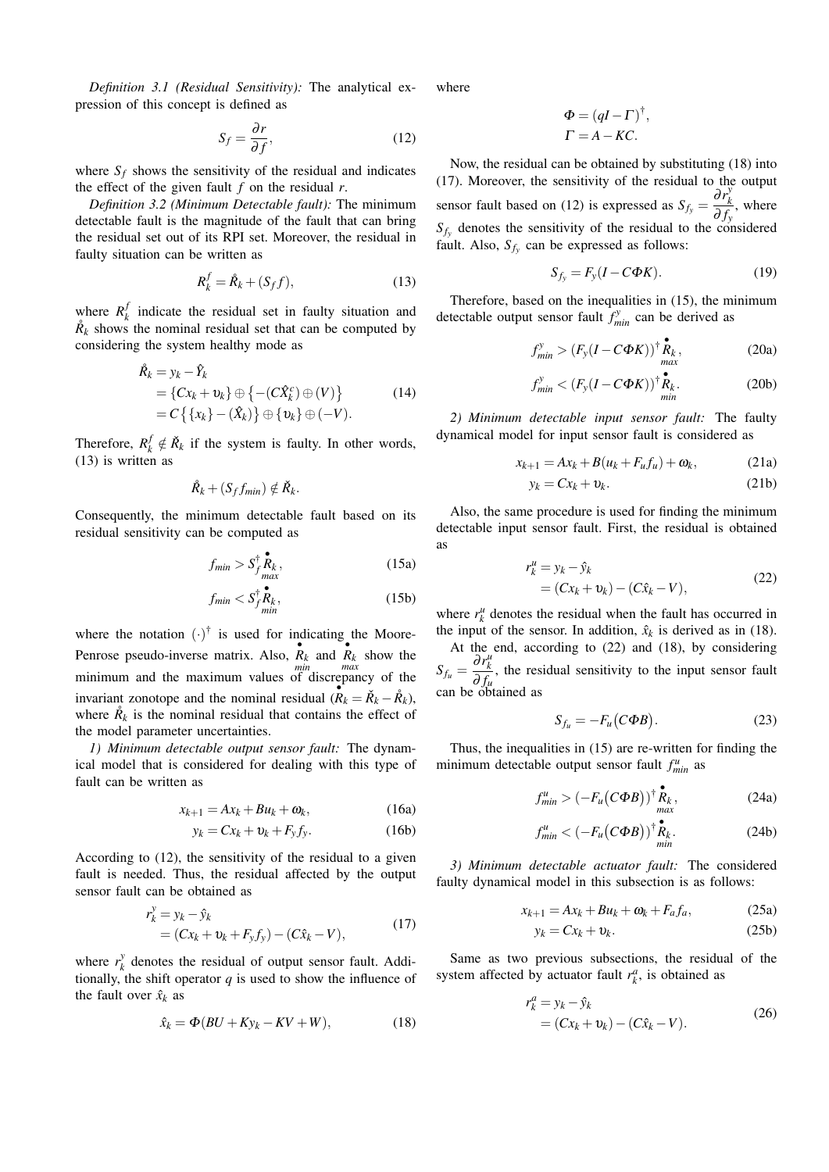Definition 3.1 (Residual Sensitivity): The analytical expression of this concept is defined as

$$
S_f = \frac{\partial r}{\partial f},\tag{12}
$$

where  $S_f$  shows the sensitivity of the residual and indicates the effect of the given fault  $f$  on the residual  $r$ .

Definition 3.2 (Minimum Detectable fault): The minimum detectable fault is the magnitude of the fault that can bring the residual set out of its RPI set. Moreover, the residual in faulty situation can be written as

$$
R_k^f = \mathring{R}_k + (S_f f),\tag{13}
$$

where  $R_k^f$  indicate the residual set in faulty situation and  $R_k$  shows the nominal residual set that can be computed by considering the system healthy mode as

$$
\hat{R}_k = y_k - \hat{Y}_k
$$
\n
$$
= \{Cx_k + v_k\} \oplus \{-(C\hat{X}_k^c) \oplus (V)\} \qquad (14)
$$
\n
$$
= C \{ \{x_k\} - (\hat{X}_k) \} \oplus \{v_k\} \oplus (-V).
$$

Therefore,  $R_k^f \notin \check{R}_k$  if the system is faulty. In other words,  $(13)$  is written as

$$
\mathring{R}_k + (S_f f_{min}) \notin \mathring{R}_k.
$$

Consequently, the minimum detectable fault based on its residual sensitivity can be computed as

$$
f_{min} > S_{f_{max}}^{\dagger} \mathbf{R}_k, \qquad (15a)
$$

$$
f_{min} < S_{f_{min}}^{\dagger} \mathbf{R}_k,\tag{15b}
$$

where the notation  $(\cdot)^\dagger$  is used for indicating the Moore-Penrose pseudo-inverse matrix. Also,  $\overrightarrow{R}_k$  and  $\overrightarrow{R}_k$  show the minimum and the maximum values of discrepancy of the invariant zonotope and the nominal residual  $(R_k = \check{R}_k - \mathring{R}_k)$ , where  $\mathring{R}_k$  is the nominal residual that contains the effect of the model parameter uncertainties.

1) Minimum detectable output sensor fault: The dynamical model that is considered for dealing with this type of fault can be written as

$$
x_{k+1} = Ax_k + Bu_k + \omega_k, \qquad (16a)
$$

$$
y_k = Cx_k + v_k + F_y f_y. \tag{16b}
$$

According to (12), the sensitivity of the residual to a given fault is needed. Thus, the residual affected by the output sensor fault can be obtained as

$$
r_k^y = y_k - \hat{y}_k
$$
  
=  $(Cx_k + v_k + F_v f_v) - (C\hat{x}_k - V),$  (17)

where  $r_k^y$  denotes the residual of output sensor fault. Additionally, the shift operator  $q$  is used to show the influence of the fault over  $\hat{x}_k$  as

$$
\hat{x}_k = \Phi(BU + Ky_k - KV + W),\tag{18}
$$

where

$$
\Phi = (qI - \Gamma)^{\dagger},
$$
  

$$
\Gamma = A - KC.
$$

Now, the residual can be obtained by substituting (18) into (17). Moreover, the sensitivity of the residual to the output sensor fault based on (12) is expressed as  $S_{f_y} = \frac{\partial r_k^y}{\partial f_y}$ , where  $S_{f_v}$  denotes the sensitivity of the residual to the considered fault. Also,  $S_{f_v}$  can be expressed as follows:

$$
S_{f_y} = F_y(I - C\Phi K). \tag{19}
$$

Therefore, based on the inequalities in (15), the minimum detectable output sensor fault  $f_{min}^y$  can be derived as

$$
f_{min}^{y} > (F_{y}(I - C\Phi K))^{\dagger} \mathbf{R}_{k}^{\bullet}, \qquad (20a)
$$

$$
f_{min}^y < (F_y(I - C\Phi K))^{\dagger} \mathbf{R}_k.
$$
 (20b)

2) Minimum detectable input sensor fault: The faulty dynamical model for input sensor fault is considered as

$$
x_{k+1} = Ax_k + B(u_k + F_u f_u) + \omega_k, \qquad (21a)
$$

$$
y_k = Cx_k + v_k. \tag{21b}
$$

Also, the same procedure is used for finding the minimum detectable input sensor fault. First, the residual is obtained as

$$
r_k^u = y_k - \hat{y}_k
$$
  
=  $(Cx_k + v_k) - (C\hat{x}_k - V),$  (22)

where  $r_k^u$  denotes the residual when the fault has occurred in the input of the sensor. In addition,  $\hat{x}_k$  is derived as in (18).

At the end, according to (22) and (18), by considering  $S_{f_u} = \frac{\partial r_k^u}{\partial f_u}$ , the residual sensitivity to the input sensor fault can be obtained as

$$
S_{f_u} = -F_u(C\Phi B). \tag{23}
$$

Thus, the inequalities in  $(15)$  are re-written for finding the minimum detectable output sensor fault  $f_{min}^u$  as

$$
f_{min}^u > \left(-F_u\big(C\Phi B\big)\right)^{\dagger} \mathop{R}_{max}^{\bullet},\tag{24a}
$$

$$
f_{min}^u < \left(-F_u\big(C\Phi B\big)\right)^{\dagger} \mathop{R}_{min}^{\bullet} \tag{24b}
$$

3) Minimum detectable actuator fault: The considered faulty dynamical model in this subsection is as follows:

$$
x_{k+1} = Ax_k + Bu_k + \omega_k + F_a f_a, \qquad (25a)
$$

$$
y_k = Cx_k + v_k. \tag{25b}
$$

Same as two previous subsections, the residual of the system affected by actuator fault  $r_k^a$ , is obtained as

$$
r_k^a = y_k - \hat{y}_k = (Cx_k + v_k) - (C\hat{x}_k - V).
$$
 (26)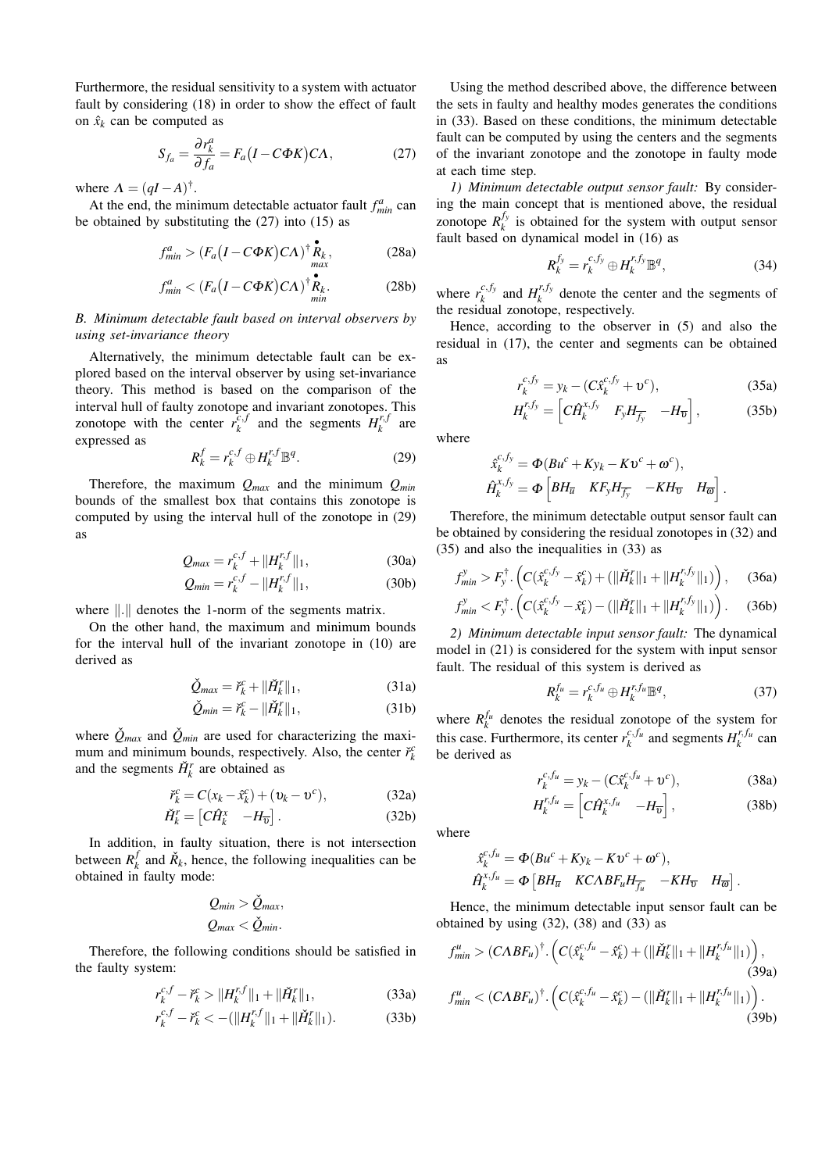Furthermore, the residual sensitivity to a system with actuator fault by considering (18) in order to show the effect of fault on  $\hat{x}_k$  can be computed as

$$
S_{f_a} = \frac{\partial r_k^a}{\partial f_a} = F_a (I - C\Phi K) C\Lambda, \qquad (27)
$$

where  $\Lambda = (qI - A)^{\dagger}$ .

At the end, the minimum detectable actuator fault  $f_{min}^a$  can be obtained by substituting the  $(27)$  into  $(15)$  as

$$
f_{min}^a > (F_a (I - C\Phi K) C\Lambda)^{\dagger} \mathbf{R}_k, \qquad (28a)
$$

$$
f_{min}^a < (F_a (I - C\Phi K) C\Lambda)^{\dagger} \mathbf{R}_k.
$$
 (28b)

B. Minimum detectable fault based on interval observers by using set-invariance theory

Alternatively, the minimum detectable fault can be explored based on the interval observer by using set-invariance theory. This method is based on the comparison of the interval hull of faulty zonotope and invariant zonotopes. This zonotope with the center  $r_k^{c,f}$  and the segments  $H_k^{r,f}$  are expressed as

$$
R_k^f = r_k^{c,f} \oplus H_k^{r,f} \mathbb{B}^q.
$$
 (29)

Therefore, the maximum  $Q_{max}$  and the minimum  $Q_{min}$ bounds of the smallest box that contains this zonotope is computed by using the interval hull of the zonotope in (29) **as** 

$$
Q_{max} = r_k^{c,f} + ||H_k^{r,f}||_1,
$$
 (30a)

$$
Q_{min} = r_k^{c,f} - ||H_k^{r,f}||_1,
$$
 (30b)

where  $\| \cdot \|$  denotes the 1-norm of the segments matrix.

On the other hand, the maximum and minimum bounds for the interval hull of the invariant zonotope in (10) are derived as

$$
\check{Q}_{max} = \check{r}_k^c + ||\check{H}_k^r||_1,\tag{31a}
$$

$$
\check{Q}_{min} = \check{r}_k^c - ||\check{H}_k^r||_1,\tag{31b}
$$

where  $\tilde{Q}_{max}$  and  $\tilde{Q}_{min}$  are used for characterizing the maximum and minimum bounds, respectively. Also, the center  $\check{r}_k^c$ and the segments  $\check{H}_k^r$  are obtained as

$$
\check{r}_k^c = C(x_k - \hat{x}_k^c) + (\upsilon_k - \upsilon^c),\tag{32a}
$$

$$
\check{H}_k^r = \begin{bmatrix} C\hat{H}_k^x & -H_{\overline{v}} \end{bmatrix} . \tag{32b}
$$

In addition, in faulty situation, there is not intersection between  $R_t^f$  and  $\check{R}_k$ , hence, the following inequalities can be obtained in faulty mode:

$$
Q_{min} > \dot{Q}_{max},
$$
  

$$
Q_{max} < \check{Q}_{min}.
$$

Therefore, the following conditions should be satisfied in the faulty system:

$$
r_k^{c,f} - \breve{r}_k^c > \|H_k^{r,f}\|_1 + \|\breve{H}_k^r\|_1,\tag{33a}
$$

$$
r_k^{c,f} - \breve{r}_k^c < -(\|H_k^{r,f}\|_1 + \|\breve{H}_k^r\|_1). \tag{33b}
$$

Using the method described above, the difference between the sets in faulty and healthy modes generates the conditions in (33). Based on these conditions, the minimum detectable fault can be computed by using the centers and the segments of the invariant zonotope and the zonotope in faulty mode at each time step.

1) Minimum detectable output sensor fault: By considering the main concept that is mentioned above, the residual zonotope  $R_k^{f_y}$  is obtained for the system with output sensor fault based on dynamical model in (16) as

$$
R_k^{f_y} = r_k^{c, f_y} \oplus H_k^{r, f_y} \mathbb{B}^q, \tag{34}
$$

where  $r_k^{c,f_y}$  and  $H_k^{r,f_y}$  denote the center and the segments of the residual zonotope, respectively.

Hence, according to the observer in  $(5)$  and also the residual in (17), the center and segments can be obtained **as** 

$$
r_k^{c,f_y} = y_k - (C\hat{x}_k^{c,f_y} + v^c),
$$
 (35a)

$$
H_k^{r,f_y} = \left[ C \hat{H}_k^{x,f_y} \quad F_y H_{\overline{f_y}} \quad -H_{\overline{v}} \right],\tag{35b}
$$

where

$$
\hat{x}_{k}^{c,jy} = \Phi(Bu^{c} + Ky_{k} - Kv^{c} + \omega^{c}),
$$
  

$$
\hat{H}_{k}^{x,f_{y}} = \Phi\left[ BH_{\overline{u}} \quad KF_{y}H_{\overline{f_{y}}} \quad -KH_{\overline{v}} \quad H_{\overline{\omega}} \right].
$$

Therefore, the minimum detectable output sensor fault can be obtained by considering the residual zonotopes in (32) and  $(35)$  and also the inequalities in  $(33)$  as

$$
f_{min}^y > F_y^{\dagger} \cdot \left( C(\hat{x}_k^{c,f_y} - \hat{x}_k^c) + (\|\check{H}_k^r\|_1 + \|H_k^{r,f_y}\|_1) \right), \quad (36a)
$$

$$
f_{min}^y < F_y^{\dagger} \cdot \left( C(\hat{x}_k^{c, f_y} - \hat{x}_k^c) - (\|\check{H}_k^r\|_1 + \|H_k^{r, f_y}\|_1) \right). \tag{36b}
$$

2) Minimum detectable input sensor fault: The dynamical model in (21) is considered for the system with input sensor fault. The residual of this system is derived as

$$
R_k^{f_u} = r_k^{c, f_u} \oplus H_k^{r, f_u} \mathbb{B}^q, \tag{37}
$$

where  $R_k^{f_u}$  denotes the residual zonotope of the system for this case. Furthermore, its center  $r_k^{c,f_u}$  and segments  $H_k^{r,f_u}$  can be derived as

$$
r_k^{c, f_u} = y_k - (C\hat{x}_k^{c, f_u} + \mathfrak{v}^c), \tag{38a}
$$

$$
H_k^{r,f_u} = \left[ C \hat{H}_k^{x,f_u} \quad -H_{\overline{v}} \right],\tag{38b}
$$

where

j

$$
\hat{x}_{k}^{c,f_{u}} = \Phi(Bu^{c} + Ky_{k} - Kv^{c} + \omega^{c}),
$$
  
\n
$$
\hat{H}_{k}^{x,f_{u}} = \Phi[BH_{\overline{u}} \quad KCABF_{u}H_{\overline{f_{u}}} - KH_{\overline{v}} \quad H_{\overline{\omega}}\ .
$$

Hence, the minimum detectable input sensor fault can be obtained by using  $(32)$ ,  $(38)$  and  $(33)$  as

$$
f_{min}^{u} > (CABF_{u})^{\dagger} \cdot \left( C(\hat{x}_{k}^{c,f_{u}} - \hat{x}_{k}^{c}) + (\|\check{H}_{k}^{r}\|_{1} + \|H_{k}^{r,f_{u}}\|_{1}) \right),
$$
\n(39a)  
\n
$$
f_{min}^{u} < (CABF_{u})^{\dagger} \cdot \left( C(\hat{x}_{k}^{c,f_{u}} - \hat{x}_{k}^{c}) - (\|\check{H}_{k}^{r}\|_{1} + \|H_{k}^{r,f_{u}}\|_{1}) \right).
$$
\n(39b)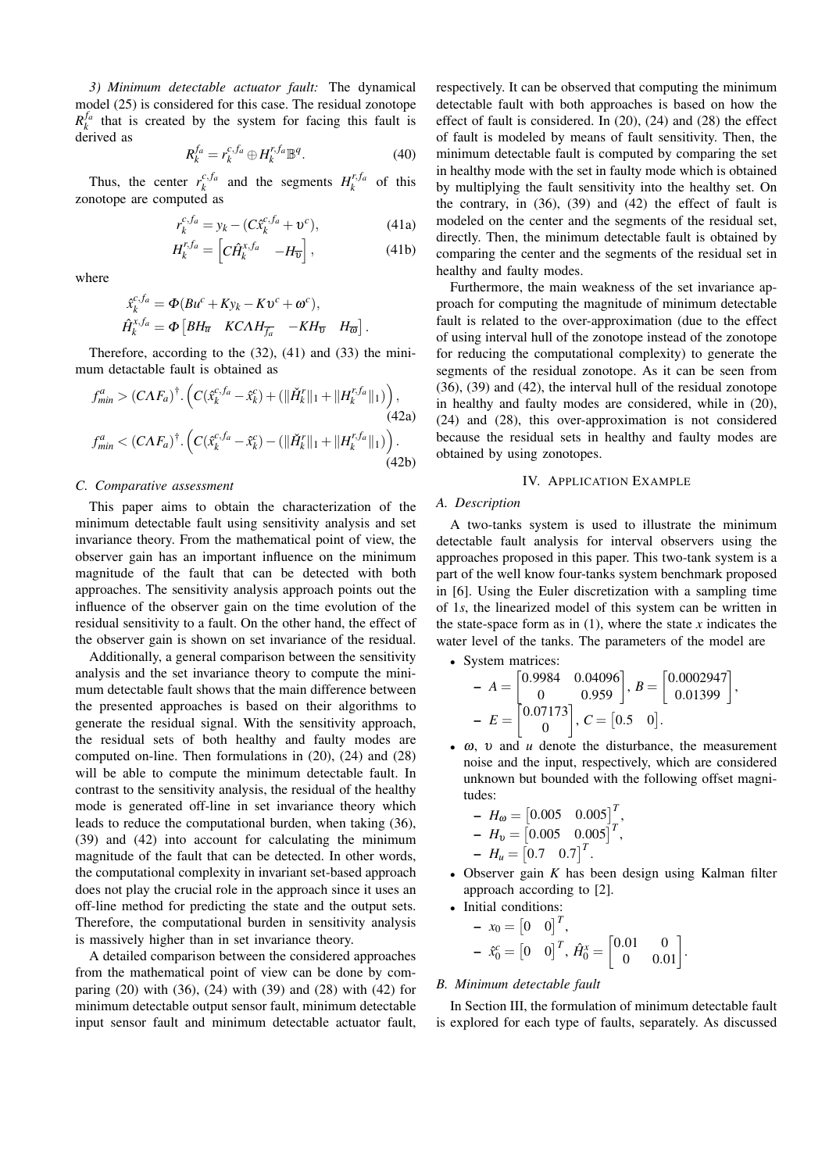3) Minimum detectable actuator fault: The dynamical model (25) is considered for this case. The residual zonotope  $R_{\nu}^{Ja}$  that is created by the system for facing this fault is derived as

$$
R_k^{f_a} = r_k^{c, f_a} \oplus H_k^{r, f_a} \mathbb{B}^q.
$$
 (40)

Thus, the center  $r_k^{c,f_a}$  and the segments  $H_k^{r,f_a}$  of this zonotope are computed as

$$
r_k^{c,fa} = y_k - (C\hat{x}_k^{c,fa} + \mathbf{v}^c), \tag{41a}
$$

$$
H_k^{r,f_a} = \begin{bmatrix} C\hat{H}_k^{x,f_a} & -H_{\overline{v}} \end{bmatrix},\tag{41b}
$$

where

$$
\hat{x}_{k}^{c, Ja} = \Phi(Bu^{c} + Ky_{k} - Kv^{c} + \omega^{c}),
$$
  
\n
$$
\hat{H}_{k}^{x, fa} = \Phi[BH_{\overline{u}} \quad KCAH_{\overline{f}_{a}} \quad -KH_{\overline{v}} \quad H_{\overline{\omega}}].
$$

Therefore, according to the  $(32)$ ,  $(41)$  and  $(33)$  the minimum detactable fault is obtained as

$$
f_{min}^{a} > (C\Lambda F_{a})^{\dagger} \cdot \left( C(\hat{x}_{k}^{c,fa} - \hat{x}_{k}^{c}) + (\|\check{H}_{k}^{r}\|_{1} + \|H_{k}^{r,fa}\|_{1}) \right),
$$
\n(42a)  
\n
$$
f_{min}^{a} < (C\Lambda F_{a})^{\dagger} \cdot \left( C(\hat{x}_{k}^{c,fa} - \hat{x}_{k}^{c}) - (\|\check{H}_{k}^{r}\|_{1} + \|H_{k}^{r,fa}\|_{1}) \right).
$$
\n(42b)

#### C. Comparative assessment

This paper aims to obtain the characterization of the minimum detectable fault using sensitivity analysis and set invariance theory. From the mathematical point of view, the observer gain has an important influence on the minimum magnitude of the fault that can be detected with both approaches. The sensitivity analysis approach points out the influence of the observer gain on the time evolution of the residual sensitivity to a fault. On the other hand, the effect of the observer gain is shown on set invariance of the residual.

Additionally, a general comparison between the sensitivity analysis and the set invariance theory to compute the minimum detectable fault shows that the main difference between the presented approaches is based on their algorithms to generate the residual signal. With the sensitivity approach, the residual sets of both healthy and faulty modes are computed on-line. Then formulations in  $(20)$ ,  $(24)$  and  $(28)$ will be able to compute the minimum detectable fault. In contrast to the sensitivity analysis, the residual of the healthy mode is generated off-line in set invariance theory which leads to reduce the computational burden, when taking (36), (39) and (42) into account for calculating the minimum magnitude of the fault that can be detected. In other words, the computational complexity in invariant set-based approach does not play the crucial role in the approach since it uses an off-line method for predicting the state and the output sets. Therefore, the computational burden in sensitivity analysis is massively higher than in set invariance theory.

A detailed comparison between the considered approaches from the mathematical point of view can be done by comparing  $(20)$  with  $(36)$ ,  $(24)$  with  $(39)$  and  $(28)$  with  $(42)$  for minimum detectable output sensor fault, minimum detectable input sensor fault and minimum detectable actuator fault, respectively. It can be observed that computing the minimum detectable fault with both approaches is based on how the effect of fault is considered. In  $(20)$ ,  $(24)$  and  $(28)$  the effect of fault is modeled by means of fault sensitivity. Then, the minimum detectable fault is computed by comparing the set in healthy mode with the set in faulty mode which is obtained by multiplying the fault sensitivity into the healthy set. On the contrary, in  $(36)$ ,  $(39)$  and  $(42)$  the effect of fault is modeled on the center and the segments of the residual set, directly. Then, the minimum detectable fault is obtained by comparing the center and the segments of the residual set in healthy and faulty modes.

Furthermore, the main weakness of the set invariance approach for computing the magnitude of minimum detectable fault is related to the over-approximation (due to the effect of using interval hull of the zonotope instead of the zonotope for reducing the computational complexity) to generate the segments of the residual zonotope. As it can be seen from  $(36)$ ,  $(39)$  and  $(42)$ , the interval hull of the residual zonotope in healthy and faulty modes are considered, while in (20),  $(24)$  and  $(28)$ , this over-approximation is not considered because the residual sets in healthy and faulty modes are obtained by using zonotopes.

#### **IV. APPLICATION EXAMPLE**

#### A. Description

A two-tanks system is used to illustrate the minimum detectable fault analysis for interval observers using the approaches proposed in this paper. This two-tank system is a part of the well know four-tanks system benchmark proposed in [6]. Using the Euler discretization with a sampling time of 1s, the linearized model of this system can be written in the state-space form as in  $(1)$ , where the state x indicates the water level of the tanks. The parameters of the model are

• System matrices:

$$
A = \begin{bmatrix} 0.9984 & 0.04096 \\ 0 & 0.959 \end{bmatrix}, B = \begin{bmatrix} 0.0002947 \\ 0.01399 \end{bmatrix},
$$

$$
E = \begin{bmatrix} 0.07173 \\ 0 \end{bmatrix}, C = \begin{bmatrix} 0.5 & 0 \end{bmatrix}.
$$

 $\bullet$   $\omega$ ,  $\upsilon$  and  $\upsilon$  denote the disturbance, the measurement noise and the input, respectively, which are considered unknown but bounded with the following offset magnitudes:

$$
- H_{\omega} = [0.005 \quad 0.005]^{T},
$$
  
\n
$$
- H_{\nu} = [0.005 \quad 0.005]^{T},
$$
  
\n
$$
- H_{\mu} = [0.7 \quad 0.7]^{T}.
$$

- Observer gain  $K$  has been design using Kalman filter approach according to [2].
- Initial conditions:

$$
\begin{aligned}\n- x_0 &= \begin{bmatrix} 0 & 0 \end{bmatrix}^T, \\
- x_0^c &= \begin{bmatrix} 0 & 0 \end{bmatrix}^T, \\
\hat{H}_0^x &= \begin{bmatrix} 0.01 & 0 \\
0 & 0.01 \end{bmatrix}\n\end{aligned}
$$

#### B. Minimum detectable fault

In Section III, the formulation of minimum detectable fault is explored for each type of faults, separately. As discussed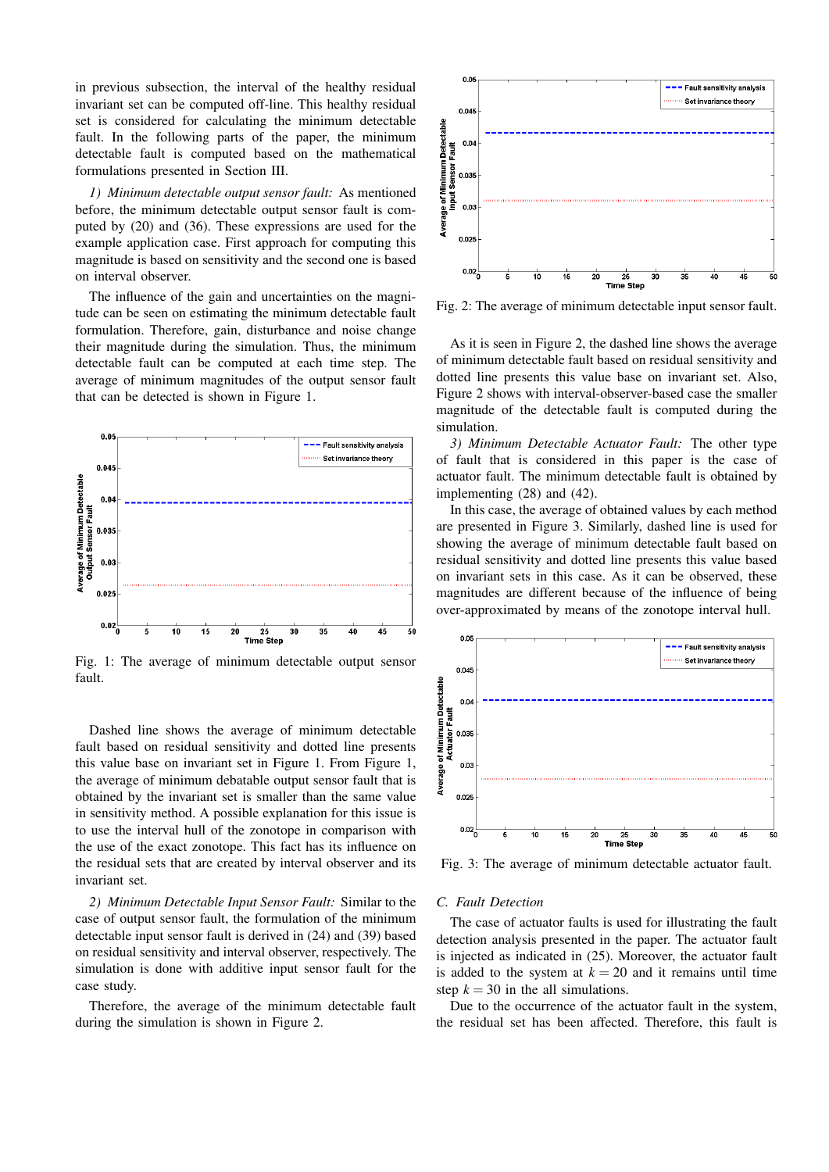in previous subsection, the interval of the healthy residual invariant set can be computed off-line. This healthy residual set is considered for calculating the minimum detectable fault. In the following parts of the paper, the minimum detectable fault is computed based on the mathematical formulations presented in Section III.

1) Minimum detectable output sensor fault: As mentioned before, the minimum detectable output sensor fault is computed by  $(20)$  and  $(36)$ . These expressions are used for the example application case. First approach for computing this magnitude is based on sensitivity and the second one is based on interval observer.

The influence of the gain and uncertainties on the magnitude can be seen on estimating the minimum detectable fault formulation. Therefore, gain, disturbance and noise change their magnitude during the simulation. Thus, the minimum detectable fault can be computed at each time step. The average of minimum magnitudes of the output sensor fault that can be detected is shown in Figure 1.



Fig. 1: The average of minimum detectable output sensor fault.

Dashed line shows the average of minimum detectable fault based on residual sensitivity and dotted line presents this value base on invariant set in Figure 1. From Figure 1, the average of minimum debatable output sensor fault that is obtained by the invariant set is smaller than the same value in sensitivity method. A possible explanation for this issue is to use the interval hull of the zonotope in comparison with the use of the exact zonotope. This fact has its influence on the residual sets that are created by interval observer and its invariant set.

2) Minimum Detectable Input Sensor Fault: Similar to the case of output sensor fault, the formulation of the minimum detectable input sensor fault is derived in (24) and (39) based on residual sensitivity and interval observer, respectively. The simulation is done with additive input sensor fault for the case study.

Therefore, the average of the minimum detectable fault during the simulation is shown in Figure 2.



Fig. 2: The average of minimum detectable input sensor fault.

As it is seen in Figure 2, the dashed line shows the average of minimum detectable fault based on residual sensitivity and dotted line presents this value base on invariant set. Also, Figure 2 shows with interval-observer-based case the smaller magnitude of the detectable fault is computed during the simulation

3) Minimum Detectable Actuator Fault: The other type of fault that is considered in this paper is the case of actuator fault. The minimum detectable fault is obtained by implementing  $(28)$  and  $(42)$ .

In this case, the average of obtained values by each method are presented in Figure 3. Similarly, dashed line is used for showing the average of minimum detectable fault based on residual sensitivity and dotted line presents this value based on invariant sets in this case. As it can be observed, these magnitudes are different because of the influence of being over-approximated by means of the zonotope interval hull.



Fig. 3: The average of minimum detectable actuator fault.

#### C. Fault Detection

The case of actuator faults is used for illustrating the fault detection analysis presented in the paper. The actuator fault is injected as indicated in  $(25)$ . Moreover, the actuator fault is added to the system at  $k = 20$  and it remains until time step  $k = 30$  in the all simulations.

Due to the occurrence of the actuator fault in the system, the residual set has been affected. Therefore, this fault is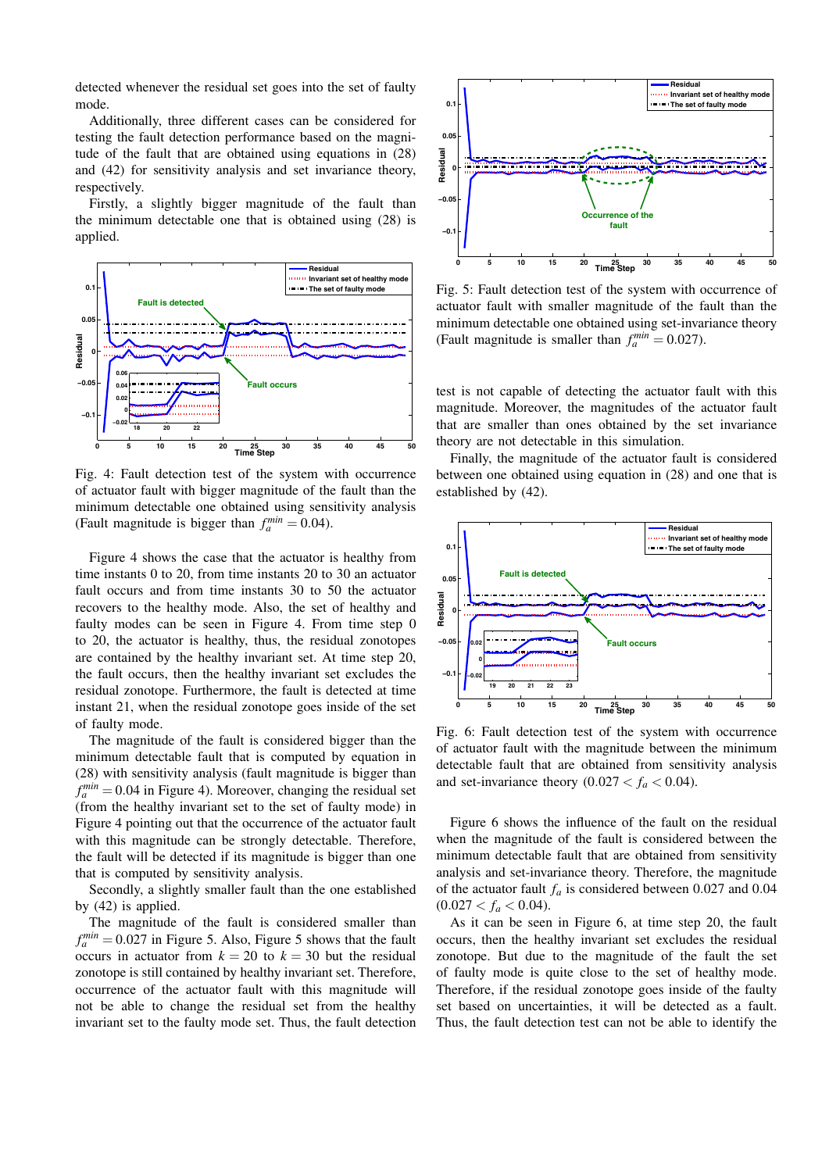detected whenever the residual set goes into the set of faulty mode.

Additionally, three different cases can be considered for testing the fault detection performance based on the magnitude of the fault that are obtained using equations in (28) and (42) for sensitivity analysis and set invariance theory, respectively.

Firstly, a slightly bigger magnitude of the fault than the minimum detectable one that is obtained using (28) is applied.



Fig. 4: Fault detection test of the system with occurrence of actuator fault with bigger magnitude of the fault than the minimum detectable one obtained using sensitivity analysis (Fault magnitude is bigger than  $f_a^{min} = 0.04$ ).

Figure 4 shows the case that the actuator is healthy from time instants  $0$  to  $20$ , from time instants  $20$  to  $30$  an actuator fault occurs and from time instants 30 to 50 the actuator recovers to the healthy mode. Also, the set of healthy and faulty modes can be seen in Figure 4. From time step 0 to 20, the actuator is healthy, thus, the residual zonotopes are contained by the healthy invariant set. At time step 20, the fault occurs, then the healthy invariant set excludes the residual zonotope. Furthermore, the fault is detected at time instant 21, when the residual zonotope goes inside of the set of faulty mode.

The magnitude of the fault is considered bigger than the minimum detectable fault that is computed by equation in (28) with sensitivity analysis (fault magnitude is bigger than  $f_a^{min} = 0.04$  in Figure 4). Moreover, changing the residual set (from the healthy invariant set to the set of faulty mode) in Figure 4 pointing out that the occurrence of the actuator fault with this magnitude can be strongly detectable. Therefore, the fault will be detected if its magnitude is bigger than one that is computed by sensitivity analysis.

Secondly, a slightly smaller fault than the one established by  $(42)$  is applied.

The magnitude of the fault is considered smaller than  $f_a^{min} = 0.027$  in Figure 5. Also, Figure 5 shows that the fault occurs in actuator from  $k = 20$  to  $k = 30$  but the residual zonotope is still contained by healthy invariant set. Therefore, occurrence of the actuator fault with this magnitude will not be able to change the residual set from the healthy invariant set to the faulty mode set. Thus, the fault detection



Fig. 5: Fault detection test of the system with occurrence of actuator fault with smaller magnitude of the fault than the minimum detectable one obtained using set-invariance theory (Fault magnitude is smaller than  $f_a^{min} = 0.027$ ).

test is not capable of detecting the actuator fault with this magnitude. Moreover, the magnitudes of the actuator fault that are smaller than ones obtained by the set invariance theory are not detectable in this simulation.

Finally, the magnitude of the actuator fault is considered between one obtained using equation in (28) and one that is established by (42).



Fig. 6: Fault detection test of the system with occurrence of actuator fault with the magnitude between the minimum detectable fault that are obtained from sensitivity analysis and set-invariance theory  $(0.027 < f_a < 0.04)$ .

Figure 6 shows the influence of the fault on the residual when the magnitude of the fault is considered between the minimum detectable fault that are obtained from sensitivity analysis and set-invariance theory. Therefore, the magnitude of the actuator fault  $f_a$  is considered between 0.027 and 0.04  $(0.027 < f_a < 0.04).$ 

As it can be seen in Figure 6, at time step 20, the fault occurs, then the healthy invariant set excludes the residual zonotope. But due to the magnitude of the fault the set of faulty mode is quite close to the set of healthy mode. Therefore, if the residual zonotope goes inside of the faulty set based on uncertainties, it will be detected as a fault. Thus, the fault detection test can not be able to identify the